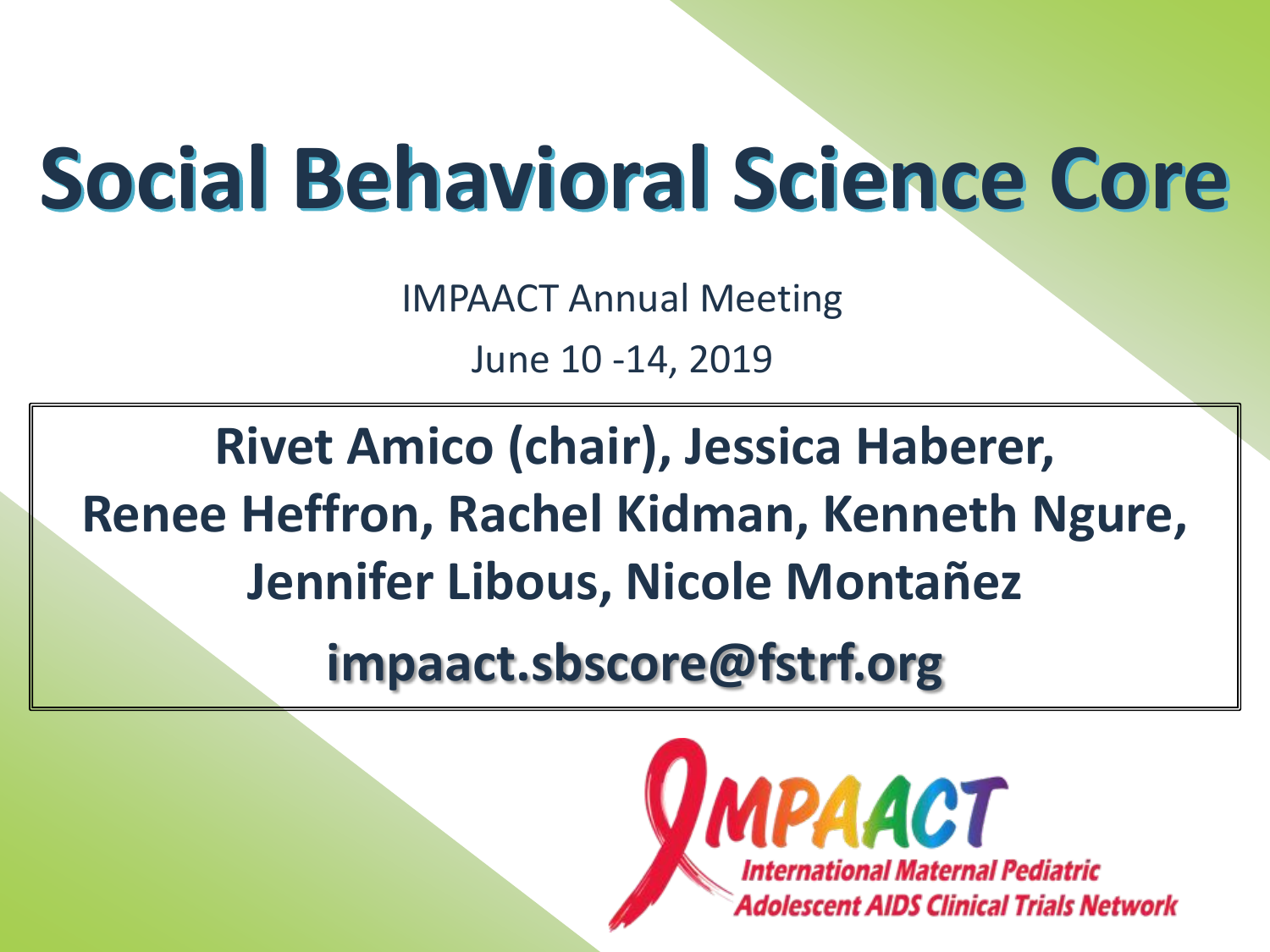## **Social Behavioral Science Core**

IMPAACT Annual Meeting

June 10 -14, 2019

**Rivet Amico (chair), Jessica Haberer, Renee Heffron, Rachel Kidman, Kenneth Ngure, Jennifer Libous, Nicole Montañez**

**impaact.sbscore@fstrf.org**

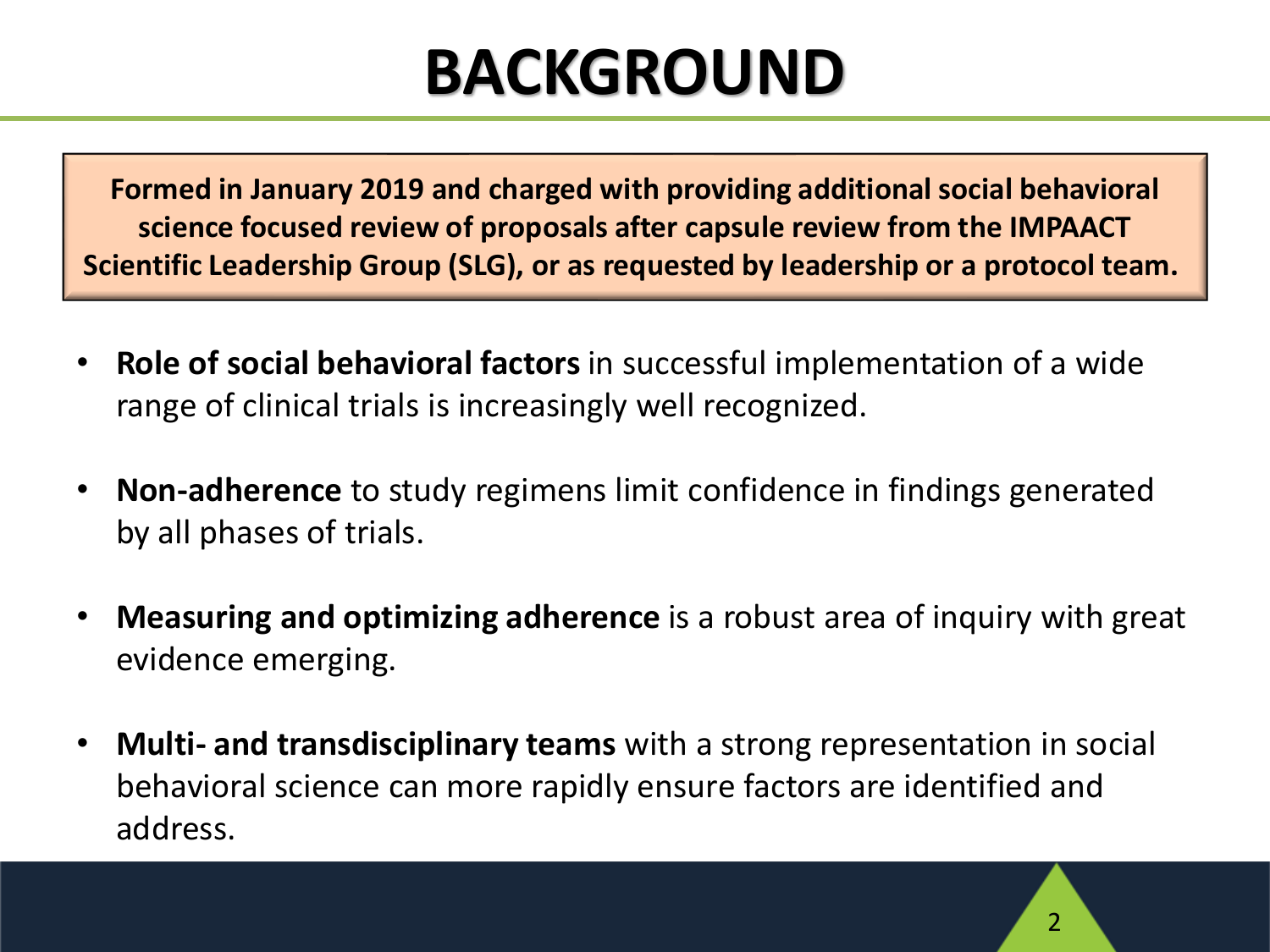#### **BACKGROUND**

**Formed in January 2019 and charged with providing additional social behavioral science focused review of proposals after capsule review from the IMPAACT Scientific Leadership Group (SLG), or as requested by leadership or a protocol team.**

- **Role of social behavioral factors** in successful implementation of a wide range of clinical trials is increasingly well recognized.
- **Non-adherence** to study regimens limit confidence in findings generated by all phases of trials.
- **Measuring and optimizing adherence** is a robust area of inquiry with great evidence emerging.
- **Multi- and transdisciplinary teams** with a strong representation in social behavioral science can more rapidly ensure factors are identified and address.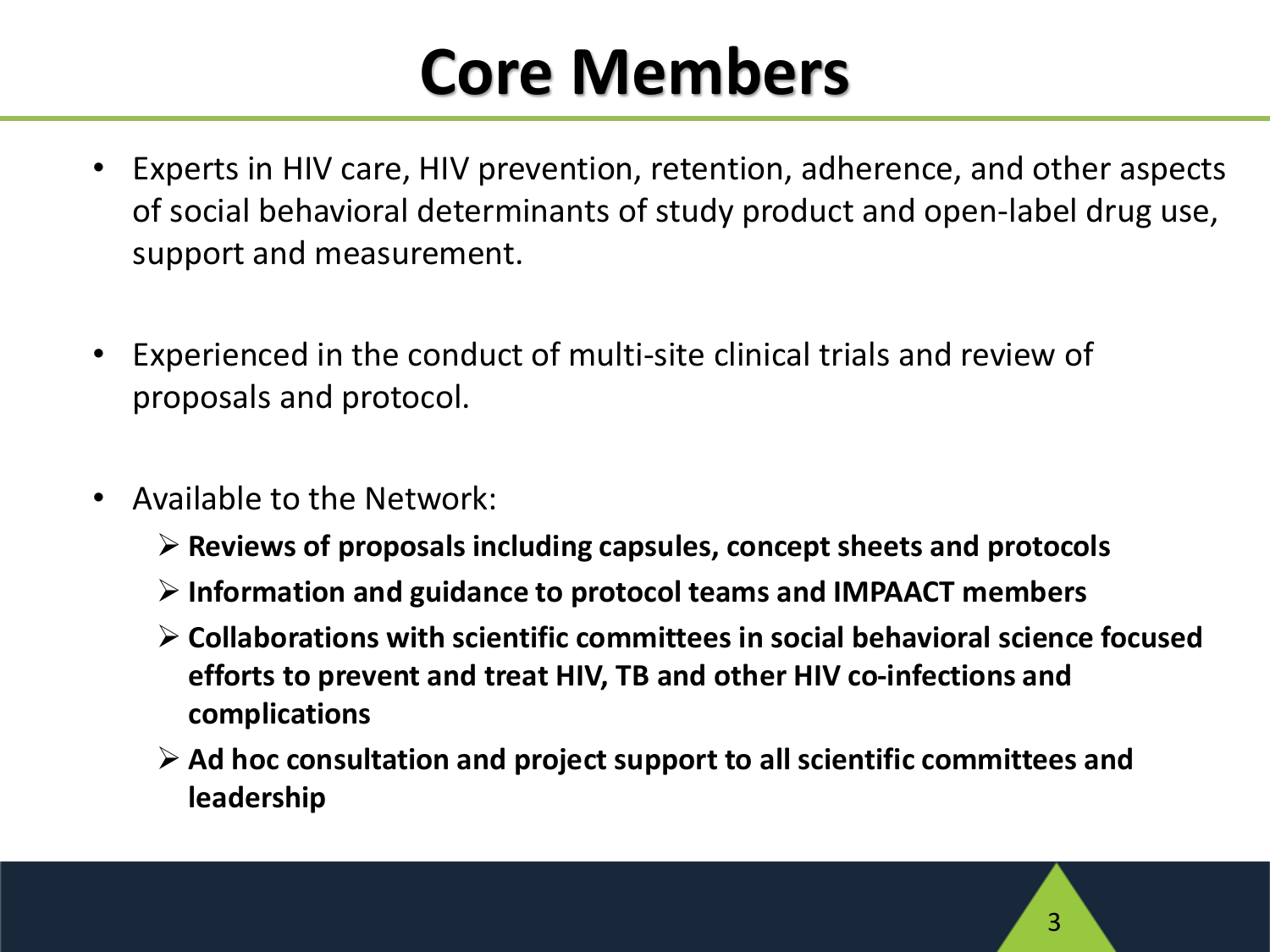#### **Core Members**

- Experts in HIV care, HIV prevention, retention, adherence, and other aspects of social behavioral determinants of study product and open-label drug use, support and measurement.
- Experienced in the conduct of multi-site clinical trials and review of proposals and protocol.
- Available to the Network:
	- ➢ **Reviews of proposals including capsules, concept sheets and protocols**
	- ➢ **Information and guidance to protocol teams and IMPAACT members**
	- ➢ **Collaborations with scientific committees in social behavioral science focused efforts to prevent and treat HIV, TB and other HIV co-infections and complications**
	- ➢ **Ad hoc consultation and project support to all scientific committees and leadership**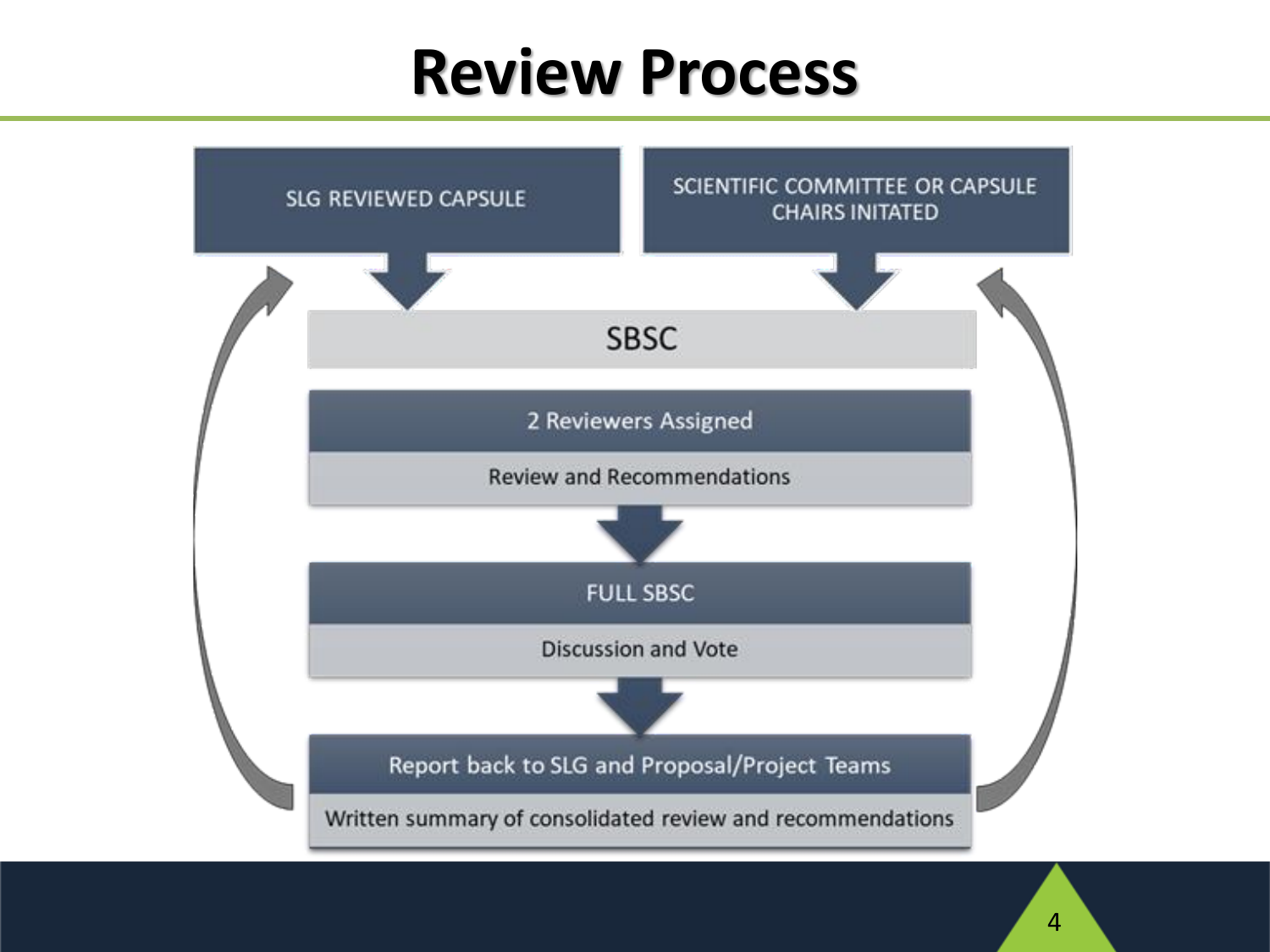#### **Review Process**

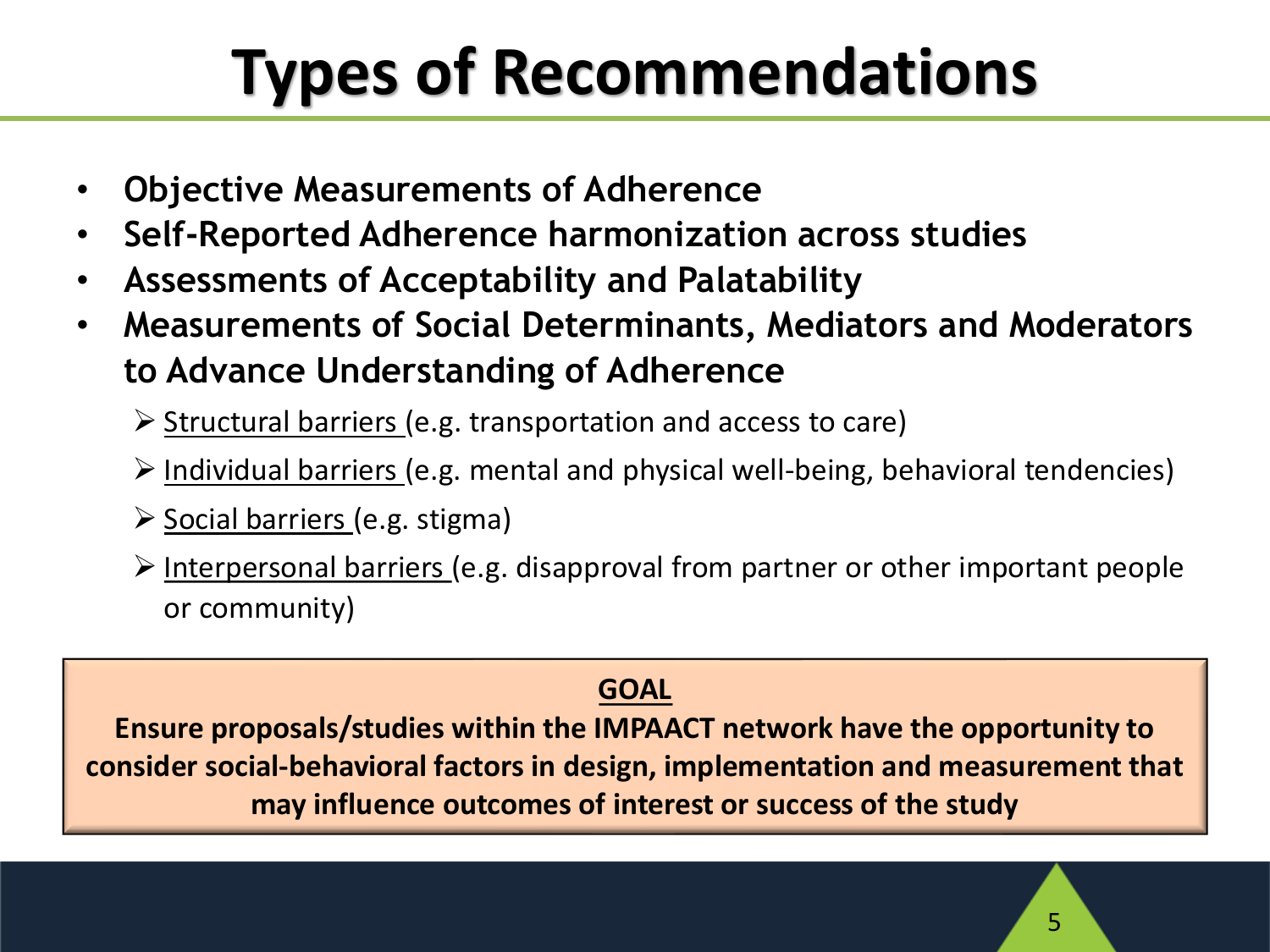### **Types of Recommendations**

- **Objective Measurements of Adherence**
- **Self-Reported Adherence harmonization across studies**
- **Assessments of Acceptability and Palatability**
- **Measurements of Social Determinants, Mediators and Moderators to Advance Understanding of Adherence**
	- ➢ Structural barriers (e.g. transportation and access to care)
	- ➢ Individual barriers (e.g. mental and physical well-being, behavioral tendencies)
	- ➢ Social barriers (e.g. stigma)
	- ➢ Interpersonal barriers (e.g. disapproval from partner or other important people or community)

#### **GOAL**

**Ensure proposals/studies within the IMPAACT network have the opportunity to consider social-behavioral factors in design, implementation and measurement that may influence outcomes of interest or success of the study**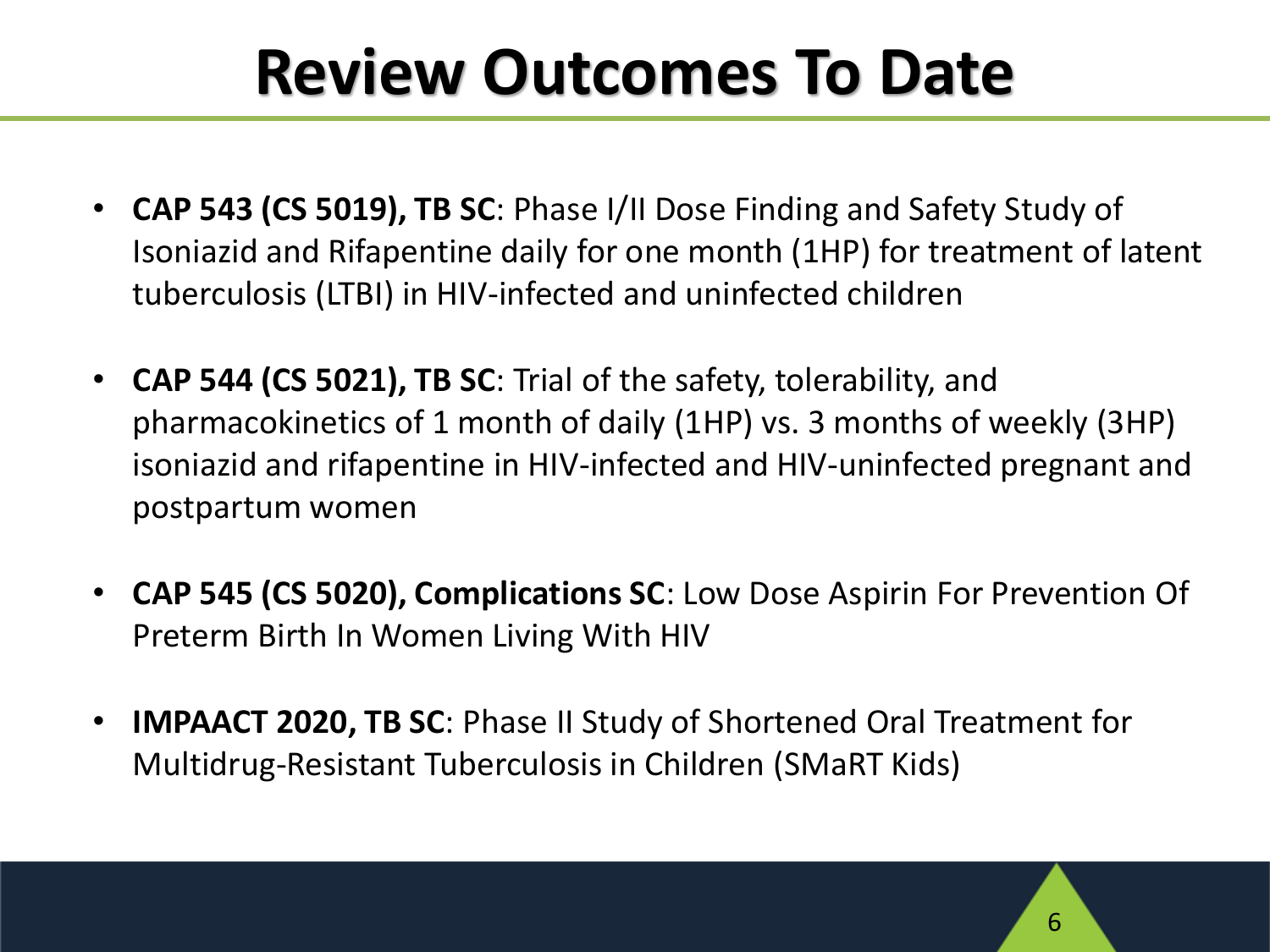#### **Review Outcomes To Date**

- **CAP 543 (CS 5019), TB SC**: Phase I/II Dose Finding and Safety Study of Isoniazid and Rifapentine daily for one month (1HP) for treatment of latent tuberculosis (LTBI) in HIV-infected and uninfected children
- **CAP 544 (CS 5021), TB SC**: Trial of the safety, tolerability, and pharmacokinetics of 1 month of daily (1HP) vs. 3 months of weekly (3HP) isoniazid and rifapentine in HIV-infected and HIV-uninfected pregnant and postpartum women
- **CAP 545 (CS 5020), Complications SC**: Low Dose Aspirin For Prevention Of Preterm Birth In Women Living With HIV
- **IMPAACT 2020, TB SC**: Phase II Study of Shortened Oral Treatment for Multidrug-Resistant Tuberculosis in Children (SMaRT Kids)